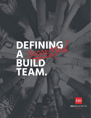## DEFINING **A BUILD TEAM.** successful

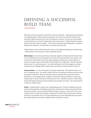## DEFINING A SUCCESSFUL Build Team.

Who does not like to succeed? We all like to hear job well done – especially when embarking on a building project. Before starting any project, one of the most impactful decisions you will make is determining the team who will shepherd it forward. The success of your project is directly linked to a successful relationship of the team driving it. Mattie Stepanek captured well when he said, "Unity is strength. . . when there is teamwork and collaboration, wonderful things can be achieved." So, what does a successful team look like?

I believe there are five motivational areas of focus for building and keeping a successful team – Relationships, Communication, Clarity, Leadership, and Joy.

**Relationships.** It is not about just being connected, together working towards the same task, it is an intentional focus on the people in your team and those working on your project. Get to know each other, build trust through open dialogue, and find your common ground. Everyone has a part to play, and the team will be stronger for recognizing it. We have all heard what you put in is what you get out. Your team will spend a lot of time together, working through various challenges and/or opportunities and needs to have this base to return to.

**Communication.** It is one of the pillars of any great relationship. The importance here is to cast a compelling vision. You need to define what you are hoping to achieve and discuss how you expect to get there. Make sure all parties have an opportunity to speak into and ultimately buy in to the project goals. Establish a method for sharing information, create a distribution plan for action items and the decisions for them. Whether in person or online (think zoom) hold regular meeting to discuss progress and evaluate next steps. This communication is critical in creating clarity.

**Clarity.** Creating clarity is meant to be a challenging process. The key to finding the way forward is asking questions, challenging assumptions and diving into what success looks like for all parties involved. Success will mean different things to everyone. Some will focus on and creating clarity on where each member is speaking from helps frame the discussion and find solutions to accomplish most if not all the expectations you have identified. But most important, clarity builds trust the team is together and on the path to success.

## **HH**ARCHITECTS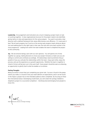**Leadership.** Encouragement and motivation are a must in keeping a project team on task on working together. A clear organizational structure for the project needs to be identified, giving clarity on roles and expectations for the various players. You want to provide a clear direction with a defined framework that values effectiveness over efficiency. C.S. Lewis puts it best "We all want progress, but if you're on the wrong road, progress means doing an aboutturn and walking back to the right road; in that case, the man who turns back soonest is the most progressive." Leading from within the team enables the team to shepherd the project to the community.

**Joy.** We are emotive beings, each with our own opinions. You will spend a lot of time together as a group, making decisions to move your project forward, so make sure you are willing to commit and contribute accordingly. All relationships need nourishment. Be purposeful in how you cultivate the relationships within the team. Enjoy each other, enjoy the process, and use the experience as a growth opportunity. Whether the team is together or mired in friction will be born out in the work itself. Every project should be seen as a blessing, an opportunity to glorify God in what he enables us to achieve.

## **Parting Thoughts**

Being successful is more than just completing your given task. Success is found in the preparations you make, it is found in how your team delivers on expectations, and it can be found in the impact a project has on the intended audience when completed. By focusing on these five motivational areas in developing a build team, you will create the synergy needed to shepherd a project to a successful completion – Glorifying God and bringing more people to know Him.

 $\vert$  and

Mark R Ashcraft, Director of Design Strategy

**HH**ARCHITECTS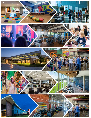